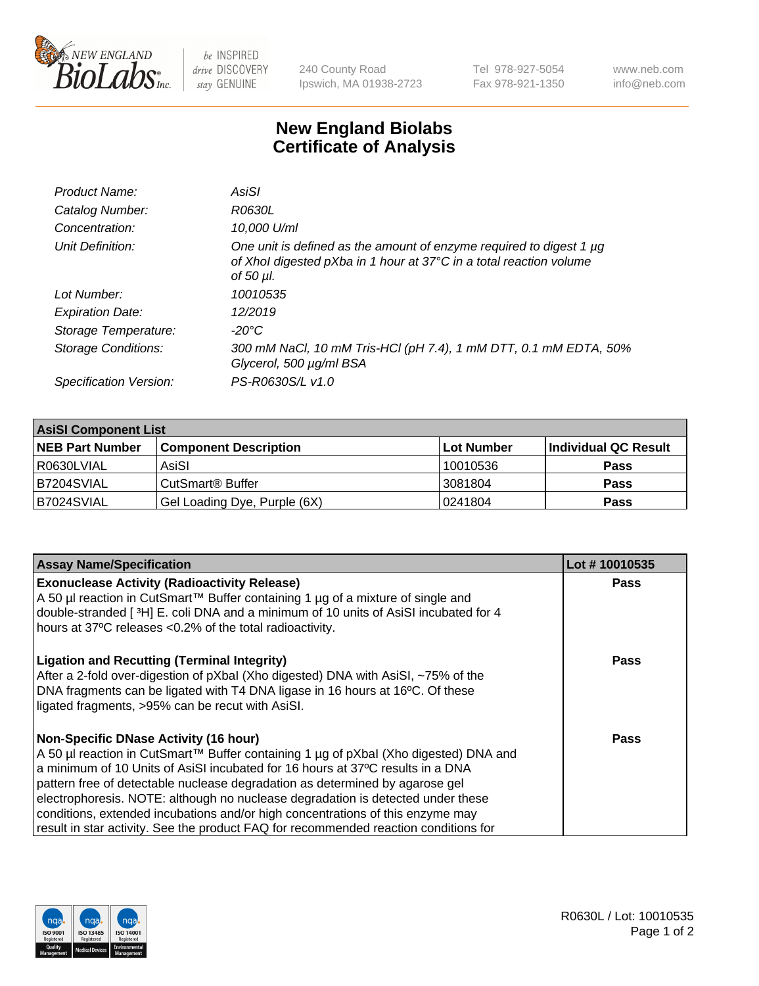

 $be$  INSPIRED drive DISCOVERY stay GENUINE

240 County Road Ipswich, MA 01938-2723 Tel 978-927-5054 Fax 978-921-1350 www.neb.com info@neb.com

## **New England Biolabs Certificate of Analysis**

| Product Name:           | AsiSI                                                                                                                                                       |
|-------------------------|-------------------------------------------------------------------------------------------------------------------------------------------------------------|
| Catalog Number:         | R0630L                                                                                                                                                      |
| Concentration:          | 10,000 U/ml                                                                                                                                                 |
| Unit Definition:        | One unit is defined as the amount of enzyme required to digest 1 µg<br>of Xhol digested pXba in 1 hour at 37°C in a total reaction volume<br>of 50 $\mu$ l. |
| Lot Number:             | 10010535                                                                                                                                                    |
| <b>Expiration Date:</b> | 12/2019                                                                                                                                                     |
| Storage Temperature:    | $-20^{\circ}$ C                                                                                                                                             |
| Storage Conditions:     | 300 mM NaCl, 10 mM Tris-HCl (pH 7.4), 1 mM DTT, 0.1 mM EDTA, 50%<br>Glycerol, 500 µg/ml BSA                                                                 |
| Specification Version:  | PS-R0630S/L v1.0                                                                                                                                            |

| <b>AsiSI Component List</b> |                              |            |                      |  |  |
|-----------------------------|------------------------------|------------|----------------------|--|--|
| <b>NEB Part Number</b>      | <b>Component Description</b> | Lot Number | Individual QC Result |  |  |
| R0630LVIAL                  | AsiSI                        | 10010536   | <b>Pass</b>          |  |  |
| B7204SVIAL                  | CutSmart <sup>®</sup> Buffer | 13081804   | <b>Pass</b>          |  |  |
| B7024SVIAL                  | Gel Loading Dye, Purple (6X) | 10241804   | <b>Pass</b>          |  |  |

| <b>Assay Name/Specification</b>                                                                                                        | Lot #10010535 |
|----------------------------------------------------------------------------------------------------------------------------------------|---------------|
| <b>Exonuclease Activity (Radioactivity Release)</b><br>A 50 µl reaction in CutSmart™ Buffer containing 1 µg of a mixture of single and | <b>Pass</b>   |
| double-stranded [3H] E. coli DNA and a minimum of 10 units of AsiSI incubated for 4                                                    |               |
| hours at 37°C releases <0.2% of the total radioactivity.                                                                               |               |
| <b>Ligation and Recutting (Terminal Integrity)</b>                                                                                     | Pass          |
| After a 2-fold over-digestion of pXbal (Xho digested) DNA with AsiSI, ~75% of the                                                      |               |
| DNA fragments can be ligated with T4 DNA ligase in 16 hours at 16°C. Of these<br>ligated fragments, >95% can be recut with AsiSI.      |               |
|                                                                                                                                        |               |
| <b>Non-Specific DNase Activity (16 hour)</b>                                                                                           | Pass          |
| A 50 µl reaction in CutSmart™ Buffer containing 1 µg of pXbal (Xho digested) DNA and                                                   |               |
| a minimum of 10 Units of AsiSI incubated for 16 hours at 37°C results in a DNA                                                         |               |
| pattern free of detectable nuclease degradation as determined by agarose gel                                                           |               |
| electrophoresis. NOTE: although no nuclease degradation is detected under these                                                        |               |
| conditions, extended incubations and/or high concentrations of this enzyme may                                                         |               |
| result in star activity. See the product FAQ for recommended reaction conditions for                                                   |               |